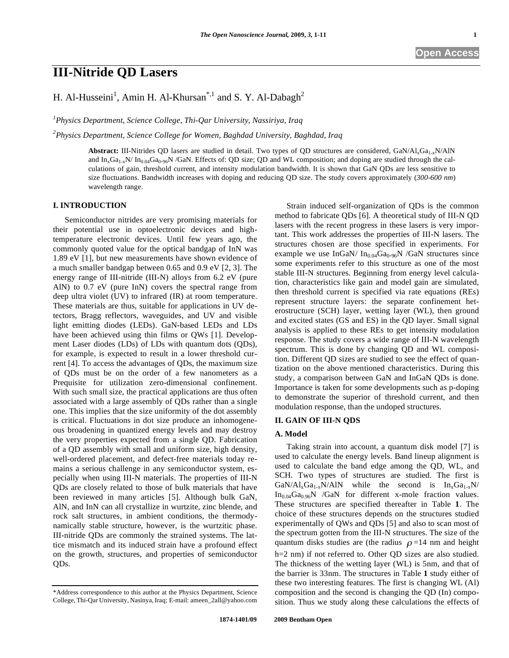**Open Access** 

H. Al-Husseini<sup>1</sup>, Amin H. Al-Khursan<sup>\*,1</sup> and S. Y. Al-Dabagh<sup>2</sup>

*1 Physics Department, Science College, Thi-Qar University, Nassiriya, Iraq* 

*2 Physics Department, Science College for Women, Baghdad University, Baghdad, Iraq* 

Abstract: III-Nitrides QD lasers are studied in detail. Two types of QD structures are considered, GaN/Al<sub>x</sub>Ga<sub>1-x</sub>N/AlN and In<sub>x</sub>Ga<sub>1-x</sub>N/ In<sub>0.04</sub>Ga<sub>0-96</sub>N/GaN. Effects of: QD size; QD and WL composition; and doping are studied through the calculations of gain, threshold current, and intensity modulation bandwidth. It is shown that GaN QDs are less sensitive to size fluctuations. Bandwidth increases with doping and reducing QD size. The study covers approximately (*300-600 nm*) wavelength range.

# **I. INTRODUCTION**

Semiconductor nitrides are very promising materials for their potential use in optoelectronic devices and hightemperature electronic devices. Until few years ago, the commonly quoted value for the optical bandgap of InN was 1.89 eV [1], but new measurements have shown evidence of a much smaller bandgap between 0.65 and 0.9 eV [2, 3]. The energy range of III-nitride (III-N) alloys from 6.2 eV (pure AlN) to 0.7 eV (pure InN) covers the spectral range from deep ultra violet (UV) to infrared (IR) at room temperature. These materials are thus, suitable for applications in UV detectors, Bragg reflectors, waveguides, and UV and visible light emitting diodes (LEDs). GaN-based LEDs and LDs have been achieved using thin films or QWs [1]. Development Laser diodes (LDs) of LDs with quantum dots (QDs), for example, is expected to result in a lower threshold current [4]. To access the advantages of QDs, the maximum size of QDs must be on the order of a few nanometers as a Prequisite for utilization zero-dimensional confinement. With such small size, the practical applications are thus often associated with a large assembly of QDs rather than a single one. This implies that the size uniformity of the dot assembly is critical. Fluctuations in dot size produce an inhomogeneous broadening in quantized energy levels and may destroy the very properties expected from a single QD. Fabrication of a QD assembly with small and uniform size, high density, well-ordered placement, and defect-free materials today remains a serious challenge in any semiconductor system, especially when using III-N materials. The properties of III-N QDs are closely related to those of bulk materials that have been reviewed in many articles [5]. Although bulk GaN, AlN, and InN can all crystallize in wurtzite, zinc blende, and rock salt structures, in ambient conditions, the thermodynamically stable structure, however, is the wurtzitic phase. III-nitride QDs are commonly the strained systems. The lattice mismatch and its induced strain have a profound effect on the growth, structures, and properties of semiconductor QDs.

Strain induced self-organization of QDs is the common method to fabricate QDs [6]. A theoretical study of III-N QD lasers with the recent progress in these lasers is very important. This work addresses the properties of III-N lasers. The structures chosen are those specified in experiments. For example we use InGaN/  $In_{0.04}Ga_{0.96}N$  /GaN structures since some experiments refer to this structure as one of the most stable III-N structures. Beginning from energy level calculation, characteristics like gain and model gain are simulated, then threshold current is specified via rate equations (REs) represent structure layers: the separate confinement heterostructure (SCH) layer, wetting layer (WL), then ground and excited states (GS and ES) in the QD layer. Small signal analysis is applied to these REs to get intensity modulation response. The study covers a wide range of III-N wavelength spectrum. This is done by changing QD and WL composition. Different QD sizes are studied to see the effect of quantization on the above mentioned characteristics. During this study, a comparison between GaN and InGaN QDs is done. Importance is taken for some developments such as p-doping to demonstrate the superior of threshold current, and then modulation response, than the undoped structures.

# **II. GAIN OF III-N QDS**

# **A. Model**

Taking strain into account, a quantum disk model [7] is used to calculate the energy levels. Band lineup alignment is used to calculate the band edge among the QD, WL, and SCH. Two types of structures are studied. The first is  $GaN/Al_xGa_{1-x}N/AlN$  while the second is  $In_xGa_{1-x}N/Al$  $In<sub>0.04</sub>Ga<sub>0.96</sub>N$  /GaN for different x-mole fraction values. These structures are specified thereafter in Table **1**. The choice of these structures depends on the structures studied experimentally of QWs and QDs [5] and also to scan most of the spectrum gotten from the III-N structures. The size of the quantum disks studies are (the radius  $\rho = 14$  nm and height h=2 nm) if not referred to. Other QD sizes are also studied. The thickness of the wetting layer (WL) is 5nm, and that of the barrier is 33nm. The structures in Table **1** study either of these two interesting features. The first is changing WL (Al) composition and the second is changing the QD (In) composition. Thus we study along these calculations the effects of

<sup>\*</sup>Address correspondence to this author at the Physics Department, Science College, Thi-Qar University, Nasinya, Iraq; E-mail: ameen\_2all@yahoo.com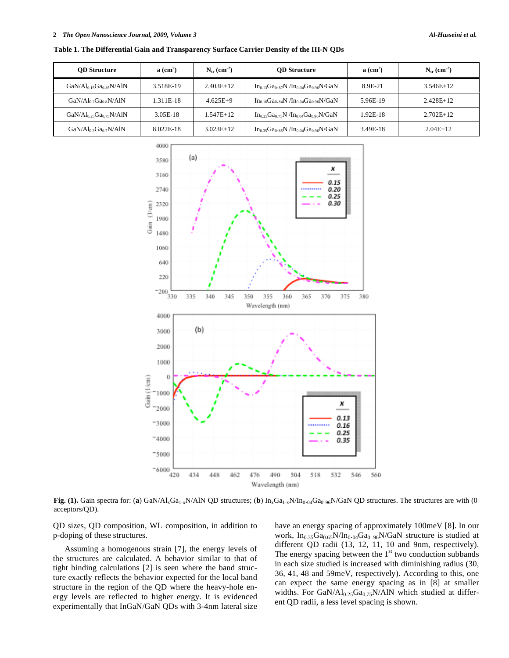#### **2** *The Open Nanoscience Journal, 2009, Volume 3 Al-Husseini et al.*

| <b>OD</b> Structure     | $a$ (cm <sup>2</sup> ) | $N_{tr}$ (cm <sup>-2</sup> ) | <b>OD</b> Structure                           | $a$ (cm <sup>2</sup> ) | $N_{tr}$ (cm <sup>-2</sup> ) |
|-------------------------|------------------------|------------------------------|-----------------------------------------------|------------------------|------------------------------|
| $GaN/Al0.15Ga0.85N/AlN$ | 3.518E-19              | $2.403E+12$                  | $In_{0.13}Ga_{0.87}N/In_{0.04}Ga_{0.96}N/GaN$ | 8.9E-21                | $3.546E+12$                  |
| $GaN/Al0.2Ga0.8N/AlN$   | 1.311E-18              | $4.625E+9$                   | $In_{0.16}Ga_{0.84}N/In_{0.04}Ga_{0.96}N/GaN$ | 5.96E-19               | 2.428E+12                    |
| $GaN/Al0.25Ga0.75N/AlN$ | 3.05E-18               | $1.547E+12$                  | $In_{0.25}Ga_{0.75}N/In_{0.04}Ga_{0.96}N/GaN$ | 1.92E-18               | $2.702E+12$                  |
| $GaN/Al0.3Ga0.7N/AlN$   | 8.022E-18              | $3.023E+12$                  | $In_{0.35}Ga_{0.65}N/In_{0.04}Ga_{0.96}N/GaN$ | 3.49E-18               | $2.04E+12$                   |

**Table 1. The Differential Gain and Transparency Surface Carrier Density of the III-N QDs** 



**Fig. (1).** Gain spectra for: (**a**) GaN/Al<sub>x</sub>Ga<sub>1-x</sub>N/AlN QD structures; (**b**)  $\ln_xGa_{1-x}N/\ln_{0.04}Ga_{0.96}N/GaN$  QD structures. The structures are with (0) acceptors/QD).

QD sizes, QD composition, WL composition, in addition to p-doping of these structures.

Assuming a homogenous strain [7], the energy levels of the structures are calculated. A behavior similar to that of tight binding calculations [2] is seen where the band structure exactly reflects the behavior expected for the local band structure in the region of the QD where the heavy-hole energy levels are reflected to higher energy. It is evidenced experimentally that InGaN/GaN QDs with 3-4nm lateral size have an energy spacing of approximately 100meV [8]. In our work,  $In<sub>0.35</sub>Ga<sub>0.65</sub>N/In<sub>0.04</sub>Ga<sub>0.96</sub>N/GaN structure is studied at$ different QD radii (13, 12, 11, 10 and 9nm, respectively). The energy spacing between the  $1<sup>st</sup>$  two conduction subbands in each size studied is increased with diminishing radius (30, 36, 41, 48 and 59meV, respectively). According to this, one can expect the same energy spacing as in [8] at smaller widths. For  $GaN/Al_{0.25}Ga_{0.75}N/AlN$  which studied at different QD radii, a less level spacing is shown.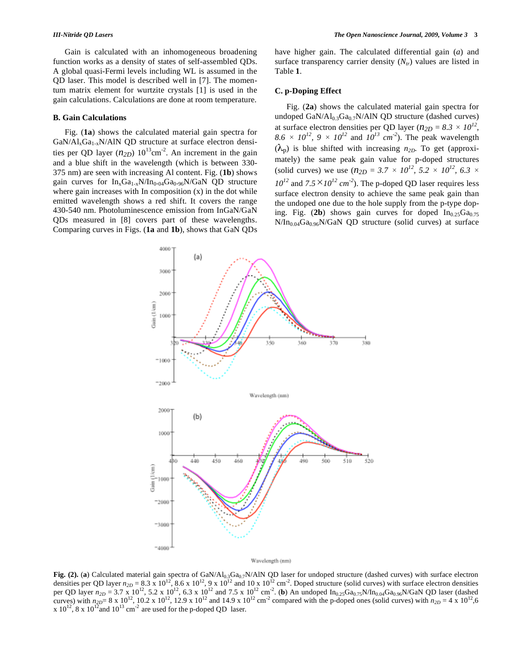Gain is calculated with an inhomogeneous broadening function works as a density of states of self-assembled QDs. A global quasi-Fermi levels including WL is assumed in the QD laser. This model is described well in [7]. The momentum matrix element for wurtzite crystals [1] is used in the gain calculations. Calculations are done at room temperature.

#### **B. Gain Calculations**

Fig. (**1a**) shows the calculated material gain spectra for  $GaN/Al_xGa_{1-x}N/AlN$  QD structure at surface electron densities per QD layer  $(n_{2D})$  10<sup>13</sup>cm<sup>-2</sup>. An increment in the gain and a blue shift in the wavelength (which is between 330- 375 nm) are seen with increasing Al content. Fig. (**1b**) shows gain curves for  $In_xGa_{1-x}N/In_{0.04}Ga_{0.96}N/GaN$  QD structure where gain increases with In composition  $(x)$  in the dot while emitted wavelength shows a red shift. It covers the range 430-540 nm. Photoluminescence emission from InGaN/GaN QDs measured in [8] covers part of these wavelengths. Comparing curves in Figs. (**1a** and **1b**), shows that GaN QDs

have higher gain. The calculated differential gain (*a*) and surface transparency carrier density  $(N<sub>tr</sub>)$  values are listed in Table **1**.

### **C. p-Doping Effect**

Fig. (**2a**) shows the calculated material gain spectra for undoped GaN/Al $_{0.3}$ Ga $_{0.7}$ N/AlN QD structure (dashed curves) at surface electron densities per QD layer ( $n_{2D} = 8.3 \times 10^{12}$ ,  $8.6 \times 10^{12}$ ,  $9 \times 10^{12}$  and  $10^{13}$  cm<sup>-2</sup>). The peak wavelength  $(\lambda_p)$  is blue shifted with increasing  $n_{2D}$ . To get (approximately) the same peak gain value for p-doped structures (solid curves) we use  $(n_{2D} = 3.7 \times 10^{12}, 5.2 \times 10^{12}, 6.3 \times 10^{12})$  $10^{12}$  and  $7.5 \times 10^{12}$  cm<sup>-2</sup>). The p-doped QD laser requires less surface electron density to achieve the same peak gain than the undoped one due to the hole supply from the p-type doping. Fig.  $(2b)$  shows gain curves for doped  $In<sub>0.25</sub>Ga<sub>0.75</sub>$  $N/In_{0.04}Ga_{0.96}N/GaN$  QD structure (solid curves) at surface



Fig. (2). (a) Calculated material gain spectra of  $\text{GaN}/\text{Al}_{0.3}\text{Ga}_{0.7}\text{N}/\text{AlN}$  QD laser for undoped structure (dashed curves) with surface electron densities per QD layer  $n_{2D} = 8.3 \times 10^{12}$ ,  $8.6 \times 10^{12}$ ,  $9 \times 10^{12}$  and  $10 \times 10^{12}$  cm<sup>-2</sup>. Doped structure (solid curves) with surface electron densities per QD layer  $n_{2D} = 3.7 \times 10^{12}$ , 5.2 x 10<sup>12</sup>, 6.3 x 10<sup>12</sup> and 7.5 x 10<sup>12</sup> cm<sup>-2</sup>. (**b**) An undoped In<sub>0.25</sub>Ga<sub>0.75</sub>N/In<sub>0.04</sub>Ga<sub>0.96</sub>N/GaN QD laser (dashed curves) with  $n_{2D}$  = 8 x 10<sup>12</sup>, 10.2 x 10<sup>12</sup>, 12.9 x 10<sup>12</sup> and 14.9 x 10<sup>12</sup> cm<sup>-2</sup> compared with the p-doped ones (solid curves) with  $n_{2D} = 4 \times 10^{12}$ , 6 x  $10^{12}$ , 8 x  $10^{12}$  and  $10^{13}$  cm<sup>-2</sup> are used for the p-doped QD laser.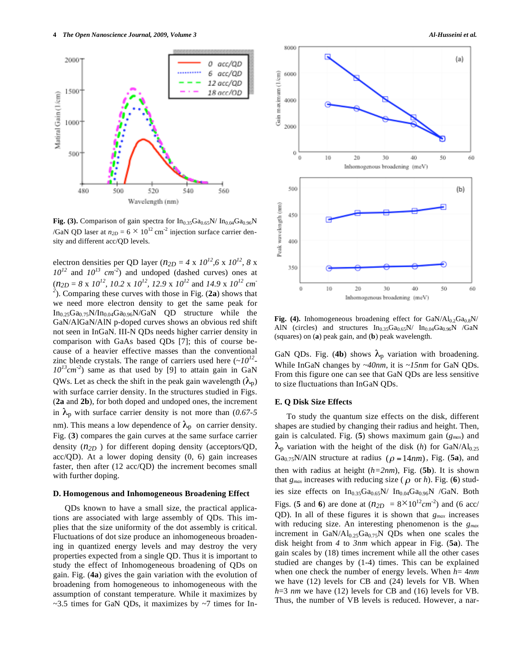

**Fig. (3).** Comparison of gain spectra for  $In<sub>0.35</sub>Ga<sub>0.65</sub>N/ In<sub>0.04</sub>Ga<sub>0.96</sub>N$ /GaN QD laser at  $n_{2D} = 6 \times 10^{12}$  cm<sup>-2</sup> injection surface carrier density and different acc/QD levels.

electron densities per QD layer ( $n_{2D} = 4 \times 10^{12}$ , 6 x  $10^{12}$ , 8 x  $10^{12}$  and  $10^{13}$  cm<sup>-2</sup>) and undoped (dashed curves) ones at  $(n_{2D} = 8 \times 10^{12}, 10.2 \times 10^{12}, 12.9 \times 10^{12}$  and  $14.9 \times 10^{12}$  cm<sup>-1</sup> *2* ). Comparing these curves with those in Fig. (**2a**) shows that we need more electron density to get the same peak for  $In_{0.25}Ga_{0.75}N/In_{0.04}Ga_{0.96}N/GaN$  QD structure while the GaN/AlGaN/AlN p-doped curves shows an obvious red shift not seen in InGaN. III-N QDs needs higher carrier density in comparison with GaAs based QDs [7]; this of course because of a heavier effective masses than the conventional zinc blende crystals. The range of carriers used here  $(\sim 10^{12} 10^{13}$ cm<sup>-2</sup>) same as that used by [9] to attain gain in GaN QWs. Let as check the shift in the peak gain wavelength  $(\lambda_p)$ with surface carrier density. In the structures studied in Figs. (**2a** and **2b**), for both doped and undoped ones, the increment in  $\lambda_p$  with surface carrier density is not more than (0.67-5) nm). This means a low dependence of  $\lambda_p$  on carrier density. Fig. (**3**) compares the gain curves at the same surface carrier density (*n2D* ) for different doping density (acceptors/QD,  $\text{acc}/\text{QD}$ ). At a lower doping density  $(0, 6)$  gain increases faster, then after (12 acc/QD) the increment becomes small with further doping.

#### **D. Homogenous and Inhomogeneous Broadening Effect**

QDs known to have a small size, the practical applications are associated with large assembly of QDs. This implies that the size uniformity of the dot assembly is critical. Fluctuations of dot size produce an inhomogeneous broadening in quantized energy levels and may destroy the very properties expected from a single QD. Thus it is important to study the effect of Inhomogeneous broadening of QDs on gain. Fig. (**4a**) gives the gain variation with the evolution of broadening from homogeneous to inhomogeneous with the assumption of constant temperature. While it maximizes by  $\sim$ 3.5 times for GaN QDs, it maximizes by  $\sim$ 7 times for In-



Fig. (4). Inhomogeneous broadening effect for  $\text{GaN}/\text{Al}_{0.2}\text{Ga}_{0.8}\text{N}/$ AlN (circles) and structures  $In<sub>0.35</sub>Ga<sub>0.65</sub>N/ In<sub>0.04</sub>Ga<sub>0.96</sub>N$  /GaN (squares) on (**a**) peak gain, and (**b**) peak wavelength.

GaN QDs. Fig. (4b) shows  $\lambda_p$  variation with broadening. While InGaN changes by *~40nm*, it is *~15nm* for GaN QDs. From this figure one can see that GaN QDs are less sensitive to size fluctuations than InGaN QDs.

### **E. Q Disk Size Effects**

To study the quantum size effects on the disk, different shapes are studied by changing their radius and height. Then, gain is calculated. Fig. (**5**) shows maximum gain (*gmax*) and  $\lambda_p$  variation with the height of the disk (*h*) for GaN/Al<sub>0.25</sub> Ga<sub>0.75</sub>N/AlN structure at radius ( $\rho =14nm$ ), Fig. (5a), and then with radius at height (*h=2nm*), Fig. (**5b**). It is shown that  $g_{max}$  increases with reducing size ( $\rho$  or *h*). Fig. (6) studies size effects on  $In<sub>0.35</sub>Ga<sub>0.65</sub>N/ In<sub>0.04</sub>Ga<sub>0.96</sub>N/GaN. Both$ Figs. (**5** and **6**) are done at  $(n_{2D} = 8 \times 10^{12} cm^{-2})$  and (6 acc/ QD). In all of these figures it is shown that *gmax* increases with reducing size. An interesting phenomenon is the *gmax* increment in  $GaN/Al_{0.25}Ga_{0.75}N$  QDs when one scales the disk height from *4* to *3nm* which appear in Fig. (**5a**). The gain scales by (18) times increment while all the other cases studied are changes by (1-4) times. This can be explained when one check the number of energy levels. When *h*= 4*nm*  we have (12) levels for CB and (24) levels for VB. When *h*=3 *nm* we have (12) levels for CB and (16) levels for VB. Thus, the number of VB levels is reduced. However, a nar-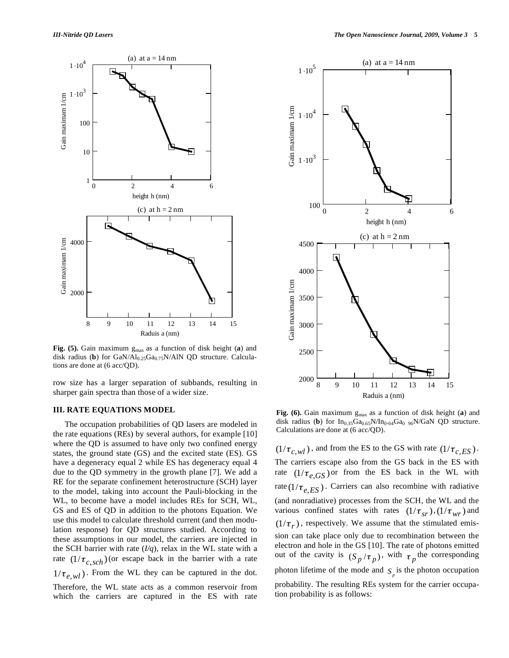

Fig. (5). Gain maximum  $g_{max}$  as a function of disk height (a) and disk radius (**b**) for  $GaN/Al_{0.25}Ga_{0.75}N/AlN$  QD structure. Calculations are done at (6 acc/QD).

row size has a larger separation of subbands, resulting in sharper gain spectra than those of a wider size.

### **III. RATE EQUATIONS MODEL**

The occupation probabilities of QD lasers are modeled in the rate equations (REs) by several authors, for example [10] where the QD is assumed to have only two confined energy states, the ground state (GS) and the excited state (ES). GS have a degeneracy equal 2 while ES has degeneracy equal 4 due to the QD symmetry in the growth plane [7]. We add a RE for the separate confinement heterostructure (SCH) layer to the model, taking into account the Pauli-blocking in the WL, to become have a model includes REs for SCH, WL, GS and ES of QD in addition to the photons Equation. We use this model to calculate threshold current (and then modulation response) for QD structures studied. According to these assumptions in our model, the carriers are injected in the SCH barrier with rate  $(I/q)$ , relax in the WL state with a rate  $(1/\tau_{c,sch})$  (or escape back in the barrier with a rate  $1/\tau_{e,wl}$ ). From the WL they can be captured in the dot. Therefore, the WL state acts as a common reservoir from which the carriers are captured in the ES with rate



**Fig. (6).** Gain maximum  $g_{max}$  as a function of disk height (a) and disk radius (**b**) for  $In<sub>0.35</sub>Ga<sub>0.65</sub>N/In<sub>0.04</sub>Ga<sub>0.96</sub>N/GaN QD structure.$ Calculations are done at (6 acc/QD).

 $(1/\tau_{c,wl})$ , and from the ES to the GS with rate  $(1/\tau_{c,ES})$ . The carriers escape also from the GS back in the ES with rate  $(1/\tau_{e,GS})$  or from the ES back in the WL with rate  $(1/\tau_{e,ES})$ . Carriers can also recombine with radiative (and nonradiative) processes from the SCH, the WL and the various confined states with rates  $(1/\tau_{sr})$ ,  $(1/\tau_{wr})$  and  $(1/\tau_r)$ , respectively. We assume that the stimulated emission can take place only due to recombination between the electron and hole in the GS [10]. The rate of photons emitted out of the cavity is  $(S_p/\tau_p)$ , with  $\tau_p$  the corresponding photon lifetime of the mode and  $S_p$  is the photon occupation probability. The resulting REs system for the carrier occupation probability is as follows: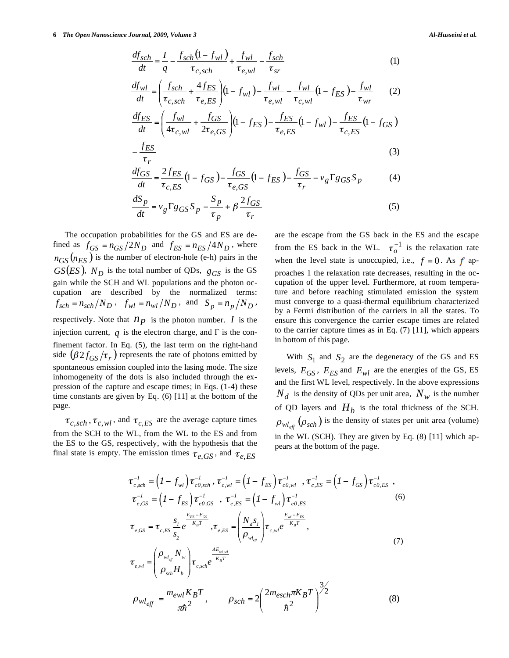**6** *The Open Nanoscience Journal, 2009, Volume 3 Al-Husseini et al.* 

$$
\frac{df_{sch}}{dt} = \frac{I}{q} - \frac{f_{sch}(1 - f_{wl})}{\tau_{c, sch}} + \frac{f_{wl}}{\tau_{e,wl}} - \frac{f_{sch}}{\tau_{sr}} \tag{1}
$$
\n
$$
\frac{df_{wl}}{dt} = \left(\frac{f_{sch}}{\tau_{c, sch}} + \frac{4f_{ES}}{\tau_{e, ES}}\right) \left(1 - f_{wl}\right) - \frac{f_{wl}}{\tau_{e,wl}} - \frac{f_{wl}}{\tau_{c,wl}} \left(1 - f_{ES}\right) - \frac{f_{wl}}{\tau_{wr}} \tag{2}
$$
\n
$$
\frac{df_{ES}}{dt} = \left(\frac{f_{wl}}{4\tau_{c,wl}} + \frac{f_{GS}}{2\tau_{e, GS}}\right) \left(1 - f_{ES}\right) - \frac{f_{ES}}{\tau_{e, ES}} \left(1 - f_{wl}\right) - \frac{f_{ES}}{\tau_{c, ES}} \left(1 - f_{GS}\right)
$$
\n
$$
-\frac{f_{ES}}{\tau_{r}} \tag{3}
$$
\n
$$
\frac{df_{GS}}{dt} = \frac{2f_{ES}}{\tau_{c}} \left(1 - f_{GS}\right) - \frac{f_{GS}}{\tau_{c}} \left(1 - f_{ES}\right) - \frac{f_{GS}}{\tau_{c}} - \nu_{g} \Gamma g_{GS} S_{p} \tag{4}
$$

$$
\frac{\partial G_S}{\partial t} = \frac{\partial f_{ES}}{\tau_{c,ES}} \left( 1 - f_{GS} \right) - \frac{\partial G_S}{\tau_{e,GS}} \left( 1 - f_{ES} \right) - \frac{\partial G_S}{\tau_r} - \nu_g \Gamma g_{GS} S_p \tag{4}
$$

$$
\frac{dS_p}{dt} = v_g \Gamma g_{GS} S_p - \frac{S_p}{\tau_p} + \beta \frac{2f_{GS}}{\tau_r}
$$
\n(5)

The occupation probabilities for the GS and ES are defined as  $f_{GS} = n_{GS}/2N_D$  and  $f_{ES} = n_{ES}/4N_D$ , where  $n_{GS}(n_{ES})$  is the number of electron-hole (e-h) pairs in the  $GS(ES)$ ,  $N_D$  is the total number of QDs,  $g_{GS}$  is the GS gain while the SCH and WL populations and the photon occupation are described by the normalized terms:  $f_{sch} = n_{sch}/N_D$ ,  $f_{wl} = n_{wl}/N_D$ , and  $S_p = n_p/N_D$ , respectively. Note that  $n_p$  is the photon number. *I* is the injection current,  $q$  is the electron charge, and  $\Gamma$  is the confinement factor. In Eq. (5), the last term on the right-hand side  $(\beta 2 f_{GS}/\tau_r)$  represents the rate of photons emitted by spontaneous emission coupled into the lasing mode. The size inhomogeneity of the dots is also included through the expression of the capture and escape times; in Eqs. (1-4) these time constants are given by Eq. (6) [11] at the bottom of the page.

 $\tau_{c,sch}$ ,  $\tau_{c,wl}$ , and  $\tau_{c,ES}$  are the average capture times from the SCH to the WL, from the WL to the ES and from the ES to the GS, respectively, with the hypothesis that the final state is empty. The emission times  $\tau_{e,GS}$ , and  $\tau_{e,ES}$ 

are the escape from the GS back in the ES and the escape from the ES back in the WL.  $\tau_o^{-1}$  is the relaxation rate when the level state is unoccupied, i.e.,  $f = 0$ . As  $f$  approaches 1 the relaxation rate decreases, resulting in the occupation of the upper level. Furthermore, at room temperature and before reaching stimulated emission the system must converge to a quasi-thermal equilibrium characterized by a Fermi distribution of the carriers in all the states. To ensure this convergence the carrier escape times are related to the carrier capture times as in Eq. (7) [11], which appears in bottom of this page.

With  $S_1$  and  $S_2$  are the degeneracy of the GS and ES levels,  $E_{GS}$ ,  $E_{ES}$  and  $E_{wl}$  are the energies of the GS, ES and the first WL level, respectively. In the above expressions  $N_d$  is the density of QDs per unit area,  $N_w$  is the number of QD layers and  $H<sub>b</sub>$  is the total thickness of the SCH.  $\rho_{wl_{\text{eff}}}(\rho_{\text{sch}})$  is the density of states per unit area (volume) in the WL (SCH). They are given by Eq. (8) [11] which appears at the bottom of the page.

$$
\tau_{c,sch}^{-1} = \left(I - f_{wl}\right)\tau_{c0,sch}^{-1}, \tau_{c,wl}^{-1} = \left(I - f_{ES}\right)\tau_{c0,wl}^{-1}, \tau_{c,ES}^{-1} = \left(I - f_{GS}\right)\tau_{c0,ES}^{-1},
$$
\n
$$
\tau_{e,GS}^{-1} = \left(I - f_{ES}\right)\tau_{e0,GS}^{-1}, \tau_{e,ES}^{-1} = \left(I - f_{wl}\right)\tau_{e0,ES}^{-1}
$$
\n
$$
\tau_{e,GS} = \tau_{c,ES}\frac{s_{I}}{s_{2}}e^{\frac{E_{ES} - E_{GS}}{K_{B}T}}, \tau_{e,ES} = \left(\frac{N_{d}s_{I}}{\rho_{wl_{df}}}\right)\tau_{c,wl}e^{\frac{E_{wl} - E_{ES}}{K_{B}T}},
$$
\n
$$
\tau_{e,wl} = \left(\frac{\rho_{wl_{cg}}N_{w}}{\rho_{sch}H_{b}}\right)\tau_{c,sch}e^{\frac{\Delta E_{wl,wl}}{K_{B}T}}
$$
\n
$$
\rho_{wl_{eff}} = \frac{m_{ewl}K_{B}T}{\pi\hbar^{2}}, \qquad \rho_{sch} = 2\left(\frac{2m_{esch}\pi K_{B}T}{\hbar^{2}}\right)^{3/2}
$$
\n(8)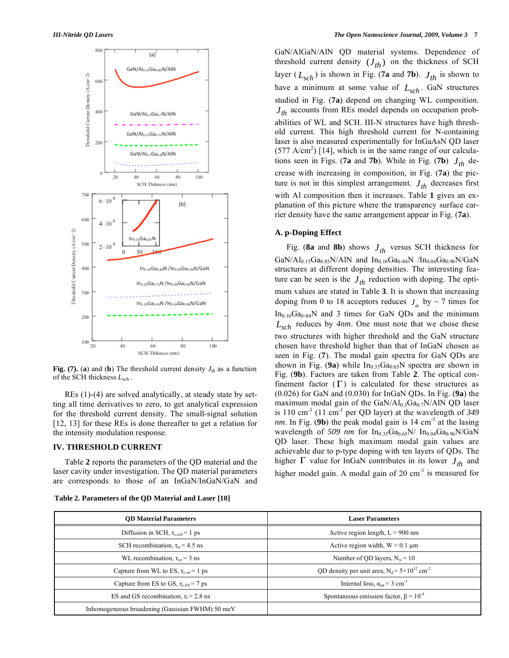

**Fig. (7).** (a) and (b) The threshold current density  $J_{th}$  as a function of the SCH thickness *Lsch* .

REs (1)-(4) are solved analytically, at steady state by setting all time derivatives to zero, to get analytical expression for the threshold current density. The small-signal solution [12, 13] for these REs is done thereafter to get a relation for the intensity modulation response.

#### **IV. THRESHOLD CURRENT**

Table **2** reports the parameters of the QD material and the laser cavity under investigation. The QD material parameters are corresponds to those of an InGaN/InGaN/GaN and

## **Table 2. Parameters of the QD Material and Laser [10]**

GaN/AlGaN/AlN QD material systems. Dependence of threshold current density  $(J_{th})$  on the thickness of SCH layer ( $L_{sch}$ ) is shown in Fig. (**7a** and **7b**).  $J_{th}$  is shown to have a minimum at some value of  $L_{sch}$ . GaN structures studied in Fig. (**7a**) depend on changing WL composition.  $J<sub>th</sub>$  accounts from REs model depends on occupation probabilities of WL and SCH. III-N structures have high threshold current. This high threshold current for N-containing laser is also measured experimentally for InGaAsN QD laser  $(577 \text{ A/cm}^2)$  [14], which is in the same range of our calculations seen in Figs. (**7a** and **7b**). While in Fig. (**7b**)  $J_{th}$  decrease with increasing in composition, in Fig. (**7a**) the picture is not in this simplest arrangement.  $J_{th}$  decreases first with Al composition then it increases. Table **1** gives an explanation of this picture where the transparency surface carrier density have the same arrangement appear in Fig. (**7a**).

# **A. p-Doping Effect**

Fig. (8a and 8b) shows  $J_{th}$  versus SCH thickness for  $GaN/Al_{0.15}Ga_{0.85}N/AlN$  and  $In_{0.16}Ga_{0.84}N$  / $In_{0.04}Ga_{0.96}N/GaN$ structures at different doping densities. The interesting feature can be seen is the  $J_{th}$  reduction with doping. The optimum values are stated in Table **3**. It is shown that increasing doping from 0 to 18 acceptors reduces  $J_{\mu}$  by ~ 7 times for  $In<sub>0.16</sub>Ga<sub>0.84</sub>N$  and 3 times for GaN QDs and the minimum *Lsch* reduces by *4nm*. One must note that we chose these two structures with higher threshold and the GaN structure chosen have threshold higher than that of InGaN chosen as seen in Fig. (**7**). The modal gain spectra for GaN QDs are shown in Fig.  $(9a)$  while  $In<sub>0.35</sub>Ga<sub>0.65</sub>N$  spectra are shown in Fig. (**9b**). Factors are taken from Table **2**. The optical confinement factor  $(\Gamma)$  is calculated for these structures as (0.026) for GaN and (0.030) for InGaN QDs. In Fig. (**9a**) the maximum modal gain of the GaN/Al $_{0.3}$ Ga $_{0.7}$ N/AlN QD laser is 110 cm-1 (11 cm-1 per QD layer) at the wavelength of *349 nm*. In Fig. (9b) the peak modal gain is  $14 \text{ cm}^{-1}$  at the lasing wavelength of *509 nm* for  $In<sub>0.35</sub>Ga<sub>0.65</sub>N/ In<sub>0.04</sub>Ga<sub>0.96</sub>N/GaN$ QD laser. These high maximum modal gain values are achievable due to p-type doping with ten layers of QDs. The higher  $\Gamma$  value for InGaN contributes in its lower  $J_{th}$  and higher model gain. A modal gain of  $20 \text{ cm}^{-1}$  is measured for

| <b>OD Material Parameters</b>                      | <b>Laser Parameters</b>                                             |
|----------------------------------------------------|---------------------------------------------------------------------|
| Diffusion in SCH, $\tau_{\text{c sch}} = 1$ ps     | Active region length, $L = 900$ nm                                  |
| SCH recombination, $\tau_{sr}$ = 4.5 ns            | Active region width, $W = 0.1 \mu m$                                |
| WL recombination, $\tau_{wr} = 3$ ns               | Number of QD layers, $N_w = 10$                                     |
| Capture from WL to ES, $\tau_{\text{c,wl}} = 1$ ps | QD density per unit area, $N_d = 5 \times 10^{12}$ cm <sup>-2</sup> |
| Capture from ES to GS, $\tau_{cFS}$ = 7 ps         | Internal loss, $\alpha_{\text{int}} = 3$ cm <sup>-1</sup>           |
| ES and GS recombination, $\tau_r$ = 2.8 ns         | Spontaneous emission factor, $\beta = 10^{-4}$                      |
| Inhomogeneous broadening (Gaussian FWHM) 50 meV    |                                                                     |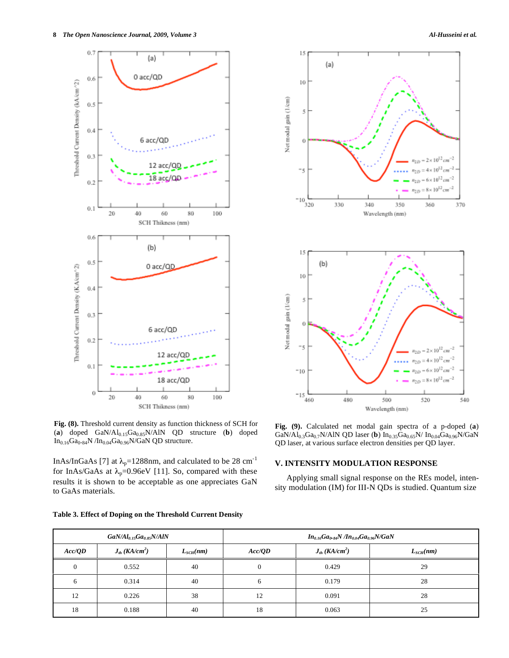

**Fig. (8).** Threshold current density as function thickness of SCH for (a) doped GaN/Al<sub>0.15</sub>Ga<sub>0.85</sub>N/AlN QD structure (**b**) doped  $In<sub>0.16</sub>Ga<sub>0.84</sub>N/In<sub>0.04</sub>Ga<sub>0.96</sub>N/GaN QD structure.$ 

InAs/InGaAs [7] at  $\lambda_p$ =1288nm, and calculated to be 28 cm<sup>-1</sup> for InAs/GaAs at  $\lambda_p=0.96$ eV [11]. So, compared with these results it is shown to be acceptable as one appreciates GaN to GaAs materials.

|  |  |  | Table 3. Effect of Doping on the Threshold Current Density |  |  |
|--|--|--|------------------------------------------------------------|--|--|
|--|--|--|------------------------------------------------------------|--|--|



**Fig. (9).** Calculated net modal gain spectra of a p-doped (**a**)  $GaN/Al_{0.3}Ga_{0.7}N/AlN$  QD laser (**b**)  $In_{0.35}Ga_{0.65}N/$   $In_{0.04}Ga_{0.96}N/GaN$ QD laser, at various surface electron densities per QD layer.

# **V. INTENSITY MODULATION RESPONSE**

Applying small signal response on the REs model, intensity modulation (IM) for III-N QDs is studied. Quantum size

| $GaN/Al_{0.15}Ga_{0.85}N/AlN$ |                                |               | $In_{0.16}Ga_{0.84}N/In_{0.04}Ga_{0.96}N/GaN$ |                                |                      |  |
|-------------------------------|--------------------------------|---------------|-----------------------------------------------|--------------------------------|----------------------|--|
| Acc/OD                        | $J_{th}$ (KA/cm <sup>2</sup> ) | $L_{SCH}(nm)$ | Acc/OD                                        | $J_{th}$ (KA/cm <sup>2</sup> ) | $L_{\text{SCH}}(nm)$ |  |
| $\Omega$                      | 0.552                          | 40            | $\mathbf{0}$                                  | 0.429                          | 29                   |  |
| 6                             | 0.314                          | 40            | 6                                             | 0.179                          | 28                   |  |
| 12                            | 0.226                          | 38            | 12                                            | 0.091                          | 28                   |  |
| 18                            | 0.188                          | 40            | 18                                            | 0.063                          | 25                   |  |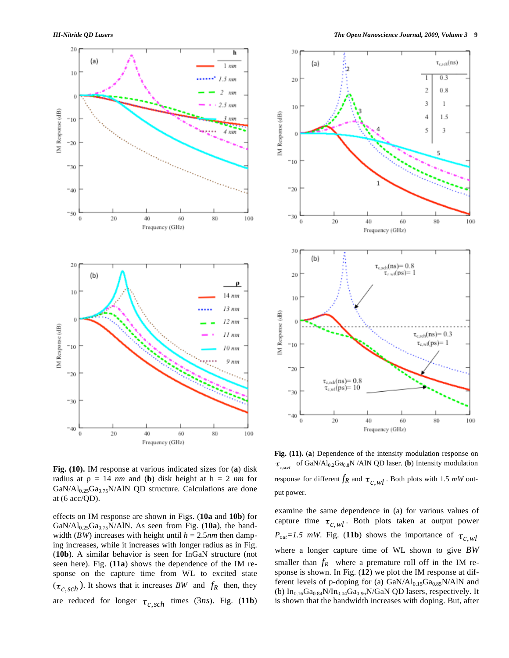



**Fig. (10).** IM response at various indicated sizes for (**a**) disk radius at  $\rho = 14$  *nm* and (**b**) disk height at  $h = 2$  *nm* for  $GaN/Al<sub>0.25</sub>Ga<sub>0.75</sub>N/AlN QD structure. Calculations are done.$ at (6 acc/QD).

effects on IM response are shown in Figs. (**10a** and **10b**) for GaN/Al<sub>0.25</sub>Ga<sub>0.75</sub>N/AlN. As seen from Fig. (10a), the bandwidth (*BW*) increases with height until  $h = 2.5$ *nm* then damping increases, while it increases with longer radius as in Fig. (**10b**). A similar behavior is seen for InGaN structure (not seen here). Fig. (**11a**) shows the dependence of the IM response on the capture time from WL to excited state  $(\tau_{c,sch})$ . It shows that it increases *BW* and  $f_R$  then, they are reduced for longer  $\tau_{c,sch}$  times (3*ns*). Fig. (11b)

**Fig. (11).** (**a**) Dependence of the intensity modulation response on  $\tau_{c, self}$  of GaN/Al<sub>0.2</sub>Ga<sub>0.8</sub>N /AlN QD laser. (**b**) Intensity modulation response for different  $f_R$  and  $\tau_{c,wl}$ . Both plots with 1.5 *mW* output power.

examine the same dependence in (a) for various values of capture time  $\tau_{c,wl}$ . Both plots taken at output power  $P_{out}=1.5$  *mW*. Fig. (11b) shows the importance of  $\tau_{c,wl}$ where a longer capture time of WL shown to give *BW* smaller than  $f_R$  where a premature roll off in the IM response is shown. In Fig. (**12**) we plot the IM response at different levels of p-doping for (a)  $GaN/Al_{0.15}Ga_{0.85}N/AlN$  and (b)  $In<sub>0.16</sub>Ga<sub>0.84</sub>N/In<sub>0.04</sub>Ga<sub>0.96</sub>N/GaN QD lasers, respectively. It$ is shown that the bandwidth increases with doping. But, after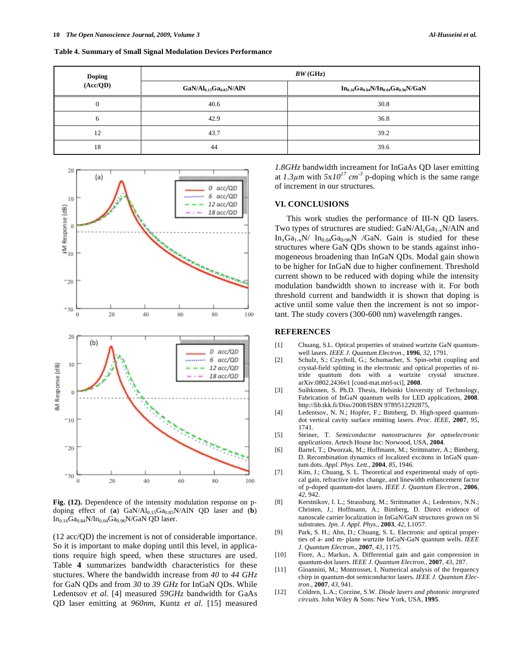| <b>Doping</b><br>(Acc/QD) | BW(GHz)                 |                                               |  |  |
|---------------------------|-------------------------|-----------------------------------------------|--|--|
|                           | $GaN/Al0.15Ga0.85N/AlN$ | $In_{0.16}Ga_{0.84}N/In_{0.04}Ga_{0.96}N/GaN$ |  |  |
|                           | 40.6                    | 30.8                                          |  |  |
| 6                         | 42.9                    | 36.8                                          |  |  |
| 12                        | 43.7                    | 39.2                                          |  |  |
| 18                        | 44                      | 39.6                                          |  |  |



**Fig. (12).** Dependence of the intensity modulation response on pdoping effect of (**a**)  $GaN/Al<sub>0.15</sub>Ga<sub>0.85</sub>N/AlN$  QD laser and (**b**)  $In<sub>0.16</sub>Ga<sub>0.84</sub>N/In<sub>0.04</sub>Ga<sub>0.96</sub>N/GaN QD laser.$ 

(12 acc/QD) the increment is not of considerable importance. So it is important to make doping until this level, in applications require high speed, when these structures are used. Table **4** summarizes bandwidth characteristics for these stuctures. Where the bandwidth increase from *40* to *44 GHz* for GaN QDs and from *30* to *39 GHz* for InGaN QDs. While Ledentsov *et al.* [4] measured *59GHz* bandwidth for GaAs QD laser emitting at *960nm*, Kuntz *et al.* [15] measured *1.8GHz* bandwidth increament for InGaAs QD laser emitting at  $1.3 \mu m$  with  $5x10^{17}$  cm<sup>-3</sup> p-doping which is the same range of increment in our structures.

### **VI. CONCLUSIONS**

This work studies the performance of III-N QD lasers. Two types of structures are studied:  $GaN/Al_xGa_{1-x}N/AlN$  and  $In_xGa_{1-x}N/ In_{0.04}Ga_{0.96}N$  /GaN. Gain is studied for these structures where GaN QDs shown to be stands against inhomogeneous broadening than InGaN QDs. Modal gain shown to be higher for InGaN due to higher confinement. Threshold current shown to be reduced with doping while the intensity modulation bandwidth shown to increase with it. For both threshold current and bandwidth it is shown that doping is active until some value then the increment is not so important. The study covers (300-600 nm) wavelength ranges.

#### **REFERENCES**

- [1] Chuang, S.L. Optical properties of strained wurtzite GaN quantumwell lasers. *IEEE J. Quantum Electron.*, **1996**, *32*, 1791.
- [2] Schulz, S.; Czycholl, G.; Schumacher, S. Spin-orbit coupling and crystal-field splitting in the electronic and optical properties of nitride quantum dots with a wurtzite crystal structure. arXiv:0802.2436v1 [cond-mat.mtrl-sci], **2008**.
- [3] Suihkonen, S. Ph.D. Thesis, Helsinki University of Technology, Fabrication of InGaN quantum wells for LED applications, **2008**. http://lib.tkk.fi/Diss/2008/ISBN 9789512292875,
- [4] Ledentsov, N. N.; Hopfer, F.; Bimberg, D. High-speed quantumdot vertical cavity surface emitting lasers. *Proc. IEEE*, **2007**, *95*, 1741.
- [5] Steiner, T. *Semiconductor nanostructures for optoelectronic applications*. Artech House Inc: Norwood, USA, **2004**.
- [6] Bartel, T.; Dworzak, M.; Hoffmann, M.; Strittmatter, A.; Bimberg, D. Recombination dynamics of localized excitons in InGaN quantum dots. *Appl. Phys. Lett.,* **2004**, *85*, 1946.
- [7] Kim, J.; Chuang, S. L. Theoretical and experimental study of optical gain, refractive index change, and linewidth enhancement factor of p-doped quantum-dot lasers. *IEEE J. Quantum Electron.,* **2006**, *42*, 942.
- [8] Kerstnikov, I. L.; Strassburg, M.; Strittmatter A.; Ledentsov, N.N.; Christen, J.; Hoffmann, A.; Bimberg, D. Direct evidence of nanoscale carrier localization in InGaN/GaN structures grown on Si substrates. *Jpn. J. Appl. Phys.,* **2003**, *42*, L1057.
- [9] Park, S. H.; Ahn, D.; Chuang, S. L. Electronic and optical properties of a- and m- plane wurtzite InGaN-GaN quantum wells. *IEEE J. Quantum Electron.*, **2007**, *43*, 1175.
- [10] Fiore, A.; Markus, A. Differential gain and gain compression in quantum-dot lasers. *IEEE J. Quantum Electron.*, **2007**, *43*, 287.
- [11] Gioannini, M.; Montrosset, I. Numerical analysis of the frequency chirp in quantum-dot semiconductor lasers. *IEEE J. Quantum Electron.*, **2007**, *43*, 941.
- [12] Coldren, L.A.; Corzine, S.W. *Diode lasers and photonic integrated circuits*. John Wiley & Sons: New York, USA, **1995**.